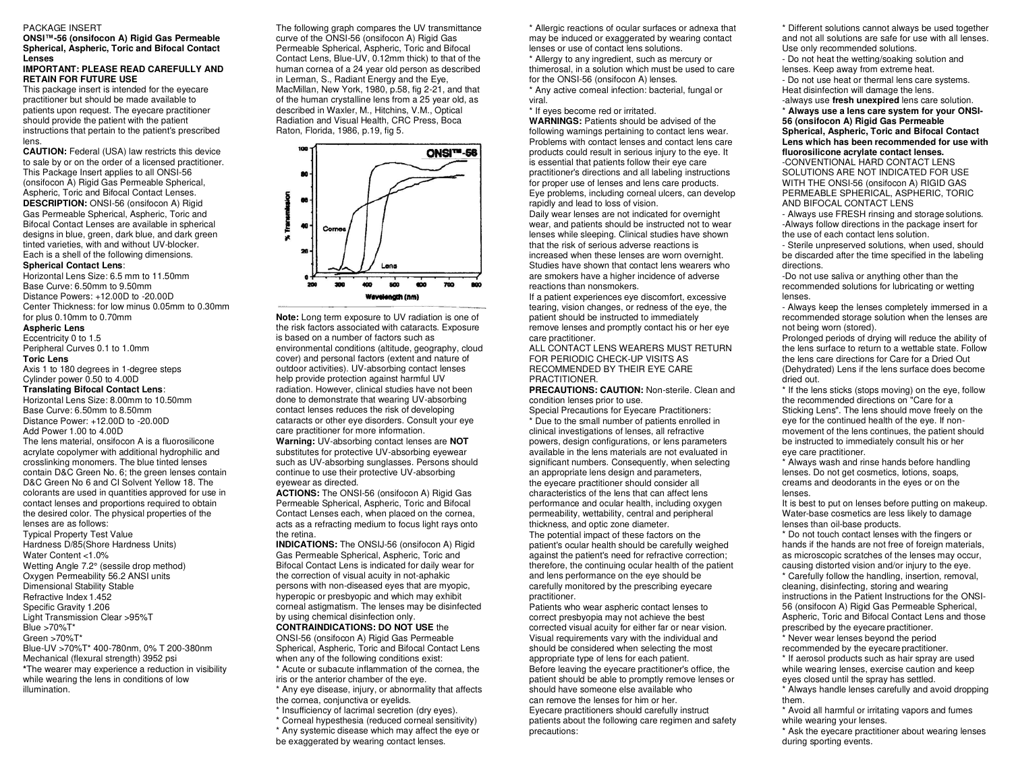#### PACKAGE INSERT

**ONSI™-56 (onsifocon A) Rigid Gas Permeable Spherical, Aspheric, Toric and Bifocal Contact Lenses** 

### **IMPORTANT: PLEASE READ CAREFULLY AND RETAIN FOR FUTURE USE**

This package insert is intended for the eyecare practitioner but should be made available to patients upon request. The eyecare practitioner should provide the patient with the patient instructions that pertain to the patient's prescribed lens.

**CAUTION:** Federal (USA) law restricts this device to sale by or on the order of a licensed practitioner. This Package Insert applies to all ONSI-56 (onsifocon A) Rigid Gas Permeable Spherical, Aspheric, Toric and Bifocal Contact Lenses. **DESCRIPTION:** ONSI-56 (onsifocon A) Rigid Gas Permeable Spherical, Aspheric, Toric and Bifocal Contact Lenses are available in spherical designs in blue, green, dark blue, and dark green tinted varieties, with and without UV-blocker. Each is a shell of the following dimensions.

### **Spherical Contact Lens**:

Horizontal Lens Size: 6.5 mm to 11.50mm Base Curve: 6.50mm to 9.50mm Distance Powers: +12.00D to -20.00D Center Thickness: for low minus 0.05mm to 0.30mm for plus 0.10mm to 0.70mm **Aspheric Lens** 

#### Eccentricity 0 to 1.5

Peripheral Curves 0.1 to 1.0mm

### **Toric Lens**

Axis 1 to 180 degrees in 1-degree steps Cylinder power 0.50 to 4.00D **Translating Bifocal Contact Lens**:

Horizontal Lens Size: 8.00mm to 10.50mm Base Curve: 6.50mm to 8.50mm

Distance Power: +12.00D to -20.00D Add Power 1.00 to 4.00D

The lens material, onsifocon A is a fluorosilicone acrylate copolymer with additional hydrophilic and crosslinking monomers. The blue tinted lenses contain D&C Green No. 6; the green lenses contain D&C Green No 6 and CI Solvent Yellow 18. The colorants are used in quantities approved for use in contact lenses and proportions required to obtain the desired color. The physical properties of the lenses are as follows:

Typical Property Test Value Hardness D/85(Shore Hardness Units) Water Content <1.0% Wetting Angle 7.2° (sessile drop method) Oxygen Permeability 56.2 ANSI units Dimensional Stability Stable Refractive Index 1.452 Specific Gravity 1.206 Light Transmission Clear >95%T Blue >70%T\* Green >70%T\* Blue-UV >70%T\* 400-780nm, 0% T 200-380nm Mechanical (flexural strength) 3952 psi **\***The wearer may experience a reduction in visibility while wearing the lens in conditions of low illumination.

The following graph compares the UV transmittance curve of the ONSI-56 (onsifocon A) Rigid Gas Permeable Spherical, Aspheric, Toric and Bifocal Contact Lens, Blue-UV, 0.12mm thick) to that of the human cornea of a 24 year old person as described in Lerman, S., Radiant Energy and the Eye, MacMillan, New York, 1980, p.58, fig 2-21, and that of the human crystalline lens from a 25 year old, as described in Waxler, M., Hitchins, V.M., Optical Radiation and Visual Health, CRC Press, Boca Raton, Florida, 1986, p.19, fig 5.



**Note:** Long term exposure to UV radiation is one of the risk factors associated with cataracts. Exposure is based on a number of factors such as environmental conditions (altitude, geography, cloud cover) and personal factors (extent and nature of outdoor activities). UV-absorbing contact lenses help provide protection against harmful UV radiation. However, clinical studies have not been done to demonstrate that wearing UV-absorbing contact lenses reduces the risk of developing cataracts or other eye disorders. Consult your eye care practitioner for more information.

**Warning:** UV-absorbing contact lenses are **NOT**  substitutes for protective UV-absorbing eyewear such as UV-absorbing sunglasses. Persons should continue to use their protective UV-absorbing eyewear as directed.

**ACTIONS:** The ONSI-56 (onsifocon A) Rigid Gas Permeable Spherical, Aspheric, Toric and Bifocal Contact Lenses each, when placed on the cornea, acts as a refracting medium to focus light rays onto the retina.

**INDICATIONS:** The ONSIJ-56 (onsifocon A) Rigid Gas Permeable Spherical, Aspheric, Toric and Bifocal Contact Lens is indicated for daily wear for the correction of visual acuity in not-aphakic persons with non-diseased eyes that are myopic, hyperopic or presbyopic and which may exhibit corneal astigmatism. The lenses may be disinfected by using chemical disinfection only.

**CONTRAINDICATIONS: DO NOT USE** the ONSI-56 (onsifocon A) Rigid Gas Permeable Spherical, Aspheric, Toric and Bifocal Contact Lens when any of the following conditions exist:

\* Acute or subacute inflammation of the cornea, the iris or the anterior chamber of the eye.

\* Any eye disease, injury, or abnormality that affects the cornea, conjunctiva or eyelids.

\* Insufficiency of lacrimal secretion (dry eyes).

\* Corneal hypesthesia (reduced corneal sensitivity)

\* Any systemic disease which may affect the eye or

be exaggerated by wearing contact lenses.

\* Allergic reactions of ocular surfaces or adnexa that may be induced or exaggerated by wearing contact lenses or use of contact lens solutions.

\* Allergy to any ingredient, such as mercury or thimerosal, in a solution which must be used to care for the ONSI-56 (onsifocon A) lenses.

\* Any active corneal infection: bacterial, fungal or viral.

\* If eyes become red or irritated.

**WARNINGS:** Patients should be advised of the following warnings pertaining to contact lens wear. Problems with contact lenses and contact lens care products could result in serious injury to the eye. It is essential that patients follow their eye care practitioner's directions and all labeling instructions for proper use of lenses and lens care products. Eye problems, including corneal ulcers, can develop rapidly and lead to loss of vision.

Daily wear lenses are not indicated for overnight wear, and patients should be instructed not to wear lenses while sleeping. Clinical studies have shown that the risk of serious adverse reactions is increased when these lenses are worn overnight. Studies have shown that contact lens wearers who are smokers have a higher incidence of adverse reactions than nonsmokers.

If a patient experiences eye discomfort, excessive tearing, vision changes, or redness of the eye, the patient should be instructed to immediately remove lenses and promptly contact his or her eye care practitioner.

ALL CONTACT LENS WEARERS MUST RETURN FOR PERIODIC CHECK-UP VISITS AS RECOMMENDED BY THEIR EYE CARE PRACTITIONER.

#### **PRECAUTIONS: CAUTION:** Non-sterile. Clean and condition lenses prior to use.

Special Precautions for Eyecare Practitioners: \* Due to the small number of patients enrolled in clinical investigations of lenses, all refractive powers, design configurations, or lens parameters available in the lens materials are not evaluated in significant numbers. Consequently, when selecting an appropriate lens design and parameters, the eyecare practitioner should consider all characteristics of the lens that can affect lens performance and ocular health, including oxygen permeability, wettability, central and peripheral thickness, and optic zone diameter.

The potential impact of these factors on the patient's ocular health should be carefully weighed against the patient's need for refractive correction; therefore, the continuing ocular health of the patient and lens performance on the eye should be carefully monitored by the prescribing eyecare practitioner.

Patients who wear aspheric contact lenses to correct presbyopia may not achieve the best corrected visual acuity for either far or near vision. Visual requirements vary with the individual and should be considered when selecting the most appropriate type of lens for each patient. Before leaving the eyecare practitioner's office, the patient should be able to promptly remove lenses or should have someone else available who can remove the lenses for him or her. Eyecare practitioners should carefully instruct patients about the following care regimen and safety precautions:

\* Different solutions cannot always be used together and not all solutions are safe for use with all lenses. Use only recommended solutions.

- Do not heat the wetting/soaking solution and lenses. Keep away from extreme heat. - Do not use heat or thermal lens care systems. Heat disinfection will damage the lens.

-always use **fresh unexpired** lens care solution. \* **Always use a lens care system for your ONSI-56 (onsifocon A) Rigid Gas Permeable Spherical, Aspheric, Toric and Bifocal Contact Lens which has been recommended for use with fluorosilicone acrylate contact lenses.** 

-CONVENTIONAL HARD CONTACT LENS SOLUTIONS ARE NOT INDICATED FOR USE WITH THE ONSI-56 (onsifocon A) RIGID GAS PERMEABLE SPHERICAL, ASPHERIC, TORIC AND BIFOCAL CONTACT LENS

- Always use FRESH rinsing and storage solutions. -Always follow directions in the package insert for the use of each contact lens solution.

- Sterile unpreserved solutions, when used, should be discarded after the time specified in the labeling directions.

-Do not use saliva or anything other than the recommended solutions for lubricating or wetting lenses.

- Always keep the lenses completely immersed in a recommended storage solution when the lenses are not being worn (stored).

Prolonged periods of drying will reduce the ability of the lens surface to return to a wettable state. Follow the lens care directions for Care for a Dried Out (Dehydrated) Lens if the lens surface does become dried out.

\* If the lens sticks (stops moving) on the eye, follow the recommended directions on "Care for a Sticking Lens". The lens should move freely on the eye for the continued health of the eye. If nonmovement of the lens continues, the patient should be instructed to immediately consult his or her eye care practitioner.

\* Always wash and rinse hands before handling lenses. Do not get cosmetics, lotions, soaps, creams and deodorants in the eyes or on the lenses.

It is best to put on lenses before putting on makeup. Water-base cosmetics are less likely to damage lenses than oil-base products.

\* Do not touch contact lenses with the fingers or hands if the hands are not free of foreign materials, as microscopic scratches of the lenses may occur, causing distorted vision and/or injury to the eye.

\* Carefully follow the handling, insertion, removal, cleaning, disinfecting, storing and wearing instructions in the Patient Instructions for the ONSI-56 (onsifocon A) Rigid Gas Permeable Spherical, Aspheric, Toric and Bifocal Contact Lens and those prescribed by the eyecare practitioner.

\* Never wear lenses beyond the period recommended by the eyecare practitioner.

\* If aerosol products such as hair spray are used while wearing lenses, exercise caution and keep eyes closed until the spray has settled.

\* Always handle lenses carefully and avoid dropping them. \* Avoid all harmful or irritating vapors and fumes

while wearing your lenses.

\* Ask the eyecare practitioner about wearing lenses during sporting events.